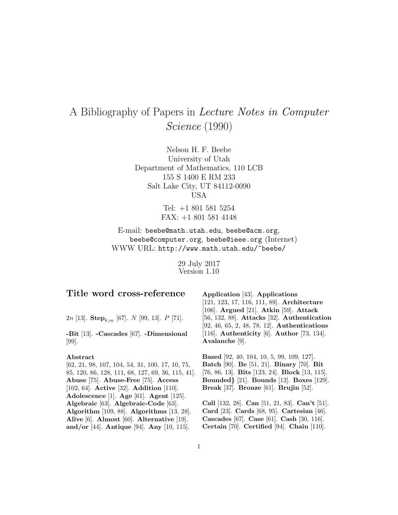# A Bibliography of Papers in Lecture Notes in Computer Science (1990)

Nelson H. F. Beebe University of Utah Department of Mathematics, 110 LCB 155 S 1400 E RM 233 Salt Lake City, UT 84112-0090 USA

> Tel: +1 801 581 5254 FAX: +1 801 581 4148

E-mail: beebe@math.utah.edu, beebe@acm.org, beebe@computer.org, beebe@ieee.org (Internet) WWW URL: http://www.math.utah.edu/~beebe/

> 29 July 2017 Version 1.10

## **Title word cross-reference**

2n [13]. **Step**k,m [67]. N [99, 13]. P [71].

**-Bit** [13]. **-Cascades** [67]. **-Dimensional** [99].

#### **Abstract**

[62, 21, 98, 107, 104, 54, 31, 100, 17, 10, 75, 85, 120, 86, 128, 111, 68, 127, 69, 36, 115, 41]. **Abuse** [75]. **Abuse-Free** [75]. **Access** [102, 64]. **Active** [32]. **Addition** [110]. **Adolescence** [1]. **Age** [61]. **Agent** [125]. **Algebraic** [63]. **Algebraic-Code** [63]. **Algorithm** [109, 88]. **Algorithms** [13, 28]. **Alive** [6]. **Almost** [60]. **Alternative** [19]. **and/or** [44]. **Antique** [94]. **Any** [10, 115].

**Application** [43]. **Applications** [121, 123, 17, 116, 111, 89]. **Architecture** [106]. **Argued** [21]. **Atkin** [59]. **Attack** [56, 132, 88]. **Attacks** [32]. **Authentication** [92, 46, 65, 2, 48, 78, 12]. **Authentications** [116]. **Authenticity** [6]. **Author** [73, 134]. **Avalanche** [9].

**Based** [92, 40, 104, 10, 5, 99, 109, 127]. **Batch** [90]. **Be** [51, 21]. **Binary** [70]. **Bit** [76, 86, 13]. **Bits** [123, 24]. **Block** [13, 115]. **Bounded***}* [21]. **Bounds** [12]. **Boxes** [129]. **Break** [37]. **Bronze** [61]. **Brujin** [52].

**Call** [132, 28]. **Can** [51, 21, 83]. **Can't** [51]. **Card** [23]. **Cards** [68, 95]. **Cartesian** [46]. **Cascades** [67]. **Case** [61]. **Cash** [30, 116]. **Certain** [70]. **Certified** [94]. **Chain** [110].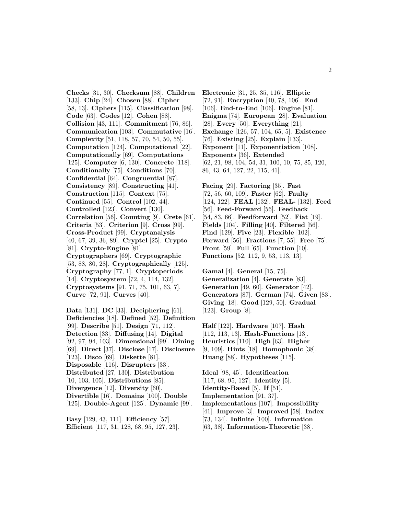**Checks** [31, 30]. **Checksum** [88]. **Children** [133]. **Chip** [24]. **Chosen** [88]. **Cipher** [58, 13]. **Ciphers** [115]. **Classification** [98]. **Code** [63]. **Codes** [12]. **Cohen** [88]. **Collision** [43, 111]. **Commitment** [76, 86]. **Communication** [103]. **Commutative** [16]. **Complexity** [51, 118, 57, 70, 54, 50, 55]. **Computation** [124]. **Computational** [22]. **Computationally** [69]. **Computations** [125]. **Computer** [6, 130]. **Concrete** [118]. **Conditionally** [75]. **Conditions** [70]. **Confidential** [64]. **Congruential** [87]. **Consistency** [89]. **Constructing** [41]. **Construction** [115]. **Context** [75]. **Continued** [55]. **Control** [102, 44]. **Controlled** [123]. **Convert** [130]. **Correlation** [56]. **Counting** [9]. **Crete** [61]. **Criteria** [53]. **Criterion** [9]. **Cross** [99]. **Cross-Product** [99]. **Cryptanalysis** [40, 67, 39, 36, 89]. **Cryptel** [25]. **Crypto** [81]. **Crypto-Engine** [81]. **Cryptographers** [69]. **Cryptographic** [53, 88, 80, 28]. **Cryptographically** [125]. **Cryptography** [77, 1]. **Cryptoperiods** [14]. **Cryptosystem** [72, 4, 114, 132]. **Cryptosystems** [91, 71, 75, 101, 63, 7]. **Curve** [72, 91]. **Curves** [40].

**Data** [131]. **DC** [33]. **Deciphering** [61]. **Deficiencies** [18]. **Defined** [52]. **Definition** [99]. **Describe** [51]. **Design** [71, 112]. **Detection** [33]. **Diffusing** [14]. **Digital** [92, 97, 94, 103]. **Dimensional** [99]. **Dining** [69]. **Direct** [37]. **Disclose** [17]. **Disclosure** [123]. **Disco** [69]. **Diskette** [81]. **Disposable** [116]. **Disrupters** [33]. **Distributed** [27, 130]. **Distribution** [10, 103, 105]. **Distributions** [85]. **Divergence** [12]. **Diversity** [60]. **Divertible** [16]. **Domains** [100]. **Double** [125]. **Double-Agent** [125]. **Dynamic** [99].

**Easy** [129, 43, 111]. **Efficiency** [57]. **Efficient** [117, 31, 128, 68, 95, 127, 23].

**Electronic** [31, 25, 35, 116]. **Elliptic** [72, 91]. **Encryption** [40, 78, 106]. **End** [106]. **End-to-End** [106]. **Engine** [81]. **Enigma** [74]. **European** [28]. **Evaluation** [28]. **Every** [50]. **Everything** [21]. **Exchange** [126, 57, 104, 65, 5]. **Existence** [76]. **Existing** [25]. **Explain** [133]. **Exponent** [11]. **Exponentiation** [108]. **Exponents** [36]. **Extended** [62, 21, 98, 104, 54, 31, 100, 10, 75, 85, 120, 86, 43, 64, 127, 22, 115, 41].

**Facing** [29]. **Factoring** [35]. **Fast** [72, 56, 60, 109]. **Faster** [62]. **Faulty** [124, 122]. **FEAL** [132]. **FEAL-** [132]. **Feed** [56]. **Feed-Forward** [56]. **Feedback** [54, 83, 66]. **Feedforward** [52]. **Fiat** [19]. **Fields** [104]. **Filling** [40]. **Filtered** [56]. **Find** [129]. **Five** [23]. **Flexible** [102]. **Forward** [56]. **Fractions** [7, 55]. **Free** [75]. **Front** [59]. **Full** [65]. **Function** [10]. **Functions** [52, 112, 9, 53, 113, 13].

**Gamal** [4]. **General** [15, 75]. **Generalization** [4]. **Generate** [83]. **Generation** [49, 60]. **Generator** [42]. **Generators** [87]. **German** [74]. **Given** [83]. **Giving** [18]. **Good** [129, 50]. **Gradual** [123]. **Group** [8].

**Half** [122]. **Hardware** [107]. **Hash** [112, 113, 13]. **Hash-Functions** [13]. **Heuristics** [110]. **High** [63]. **Higher** [9, 109]. **Hints** [18]. **Homophonic** [38]. **Huang** [88]. **Hypotheses** [115].

**Ideal** [98, 45]. **Identification** [117, 68, 95, 127]. **Identity** [5]. **Identity-Based** [5]. **If** [51]. **Implementation** [91, 37]. **Implementations** [107]. **Impossibility** [41]. **Improve** [3]. **Improved** [58]. **Index** [73, 134]. **Infinite** [100]. **Information**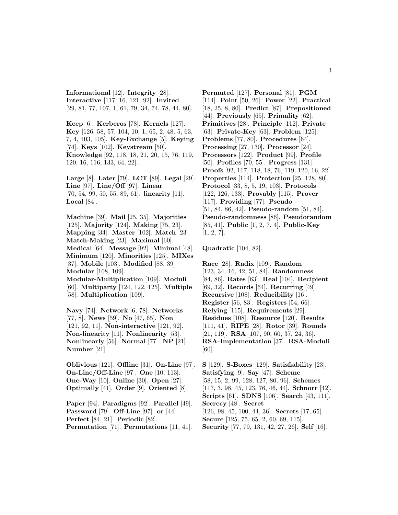**Informational** [12]. **Integrity** [28]. **Interactive** [117, 16, 121, 92]. **Invited** [29, 81, 77, 107, 1, 61, 79, 34, 74, 78, 44, 80].

**Keep** [6]. **Kerberos** [78]. **Kernels** [127]. **Key** [126, 58, 57, 104, 10, 1, 65, 2, 48, 5, 63, 7, 4, 103, 105]. **Key-Exchange** [5]. **Keying** [74]. **Keys** [102]. **Keystream** [50]. **Knowledge** [92, 118, 18, 21, 20, 15, 76, 119, 120, 16, 116, 133, 64, 22].

**Large** [8]. **Later** [79]. **LCT** [89]. **Legal** [29]. **Line** [97]. **Line/Off** [97]. **Linear** [70, 54, 99, 50, 55, 89, 61]. **linearity** [11]. **Local** [84].

**Machine** [39]. **Mail** [25, 35]. **Majorities** [125]. **Majority** [124]. **Making** [75, 23]. **Mapping** [34]. **Master** [102]. **Match** [23]. **Match-Making** [23]. **Maximal** [60]. **Medical** [64]. **Message** [92]. **Minimal** [48]. **Minimum** [120]. **Minorities** [125]. **MIXes** [37]. **Mobile** [103]. **Modified** [88, 39]. **Modular** [108, 109]. **Modular-Multiplication** [109]. **Moduli** [60]. **Multiparty** [124, 122, 125]. **Multiple** [58]. **Multiplication** [109].

**Navy** [74]. **Network** [6, 78]. **Networks** [77, 8]. **News** [59]. **No** [47, 65]. **Non** [121, 92, 11]. **Non-interactive** [121, 92]. **Non-linearity** [11]. **Nonlinearity** [53]. **Nonlinearly** [56]. **Normal** [77]. **NP** [21]. **Number** [21].

**Oblivious** [121]. **Offline** [31]. **On-Line** [97]. **On-Line/Off-Line** [97]. **One** [10, 113]. **One-Way** [10]. **Online** [30]. **Open** [27]. **Optimally** [41]. **Order** [9]. **Oriented** [8].

**Paper** [94]. **Paradigms** [92]. **Parallel** [49]. **Password** [79]. **Off-Line** [97]. **or** [44]. **Perfect** [84, 21]. **Periodic** [82]. **Permutation** [71]. **Permutations** [11, 41].

**Permuted** [127]. **Personal** [81]. **PGM** [114]. **Point** [50, 26]. **Power** [22]. **Practical** [18, 25, 8, 80]. **Predict** [87]. **Prepositioned** [44]. **Previously** [65]. **Primality** [62]. **Primitives** [28]. **Principle** [112]. **Private** [63]. **Private-Key** [63]. **Problem** [125]. **Problems** [77, 80]. **Procedures** [64]. **Processing** [27, 130]. **Processor** [24]. **Processors** [122]. **Product** [99]. **Profile** [50]. **Profiles** [70, 55]. **Progress** [131]. **Proofs** [92, 117, 118, 18, 76, 119, 120, 16, 22]. **Properties** [114]. **Protection** [25, 128, 80]. **Protocol** [33, 8, 5, 19, 103]. **Protocols** [122, 126, 133]. **Provably** [115]. **Prover** [117]. **Providing** [77]. **Pseudo** [51, 84, 86, 42]. **Pseudo-random** [51, 84]. **Pseudo-randomness** [86]. **Pseudorandom** [85, 41]. **Public** [1, 2, 7, 4]. **Public-Key** [1, 2, 7].

**Quadratic** [104, 82].

**Race** [28]. **Radix** [109]. **Random** [123, 34, 16, 42, 51, 84]. **Randomness** [84, 86]. **Rates** [63]. **Real** [104]. **Recipient** [69, 32]. **Records** [64]. **Recurring** [49]. **Recursive** [108]. **Reducibility** [16]. **Register** [56, 83]. **Registers** [54, 66]. **Relying** [115]. **Requirements** [29]. **Residues** [108]. **Resource** [120]. **Results** [111, 41]. **RIPE** [28]. **Rotor** [39]. **Rounds** [21, 119]. **RSA** [107, 90, 60, 37, 24, 36]. **RSA-Implementation** [37]. **RSA-Moduli** [60].

**S** [129]. **S-Boxes** [129]. **Satisfiability** [23]. **Satisfying** [9]. **Say** [47]. **Scheme** [58, 15, 2, 99, 128, 127, 80, 96]. **Schemes** [117, 3, 98, 45, 123, 76, 46, 44]. **Schnorr** [42]. **Scripts** [61]. **SDNS** [106]. **Search** [43, 111]. **Secrecy** [48]. **Secret** [126, 98, 45, 100, 44, 36]. **Secrets** [17, 65]. **Secure** [125, 75, 65, 2, 60, 69, 115]. **Security** [77, 79, 131, 42, 27, 26]. **Self** [16].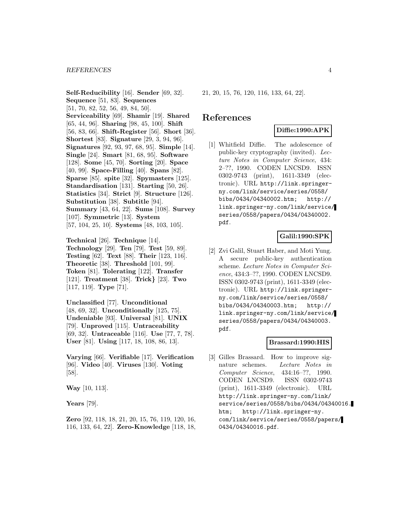**Self-Reducibility** [16]. **Sender** [69, 32]. **Sequence** [51, 83]. **Sequences** [51, 70, 82, 52, 56, 49, 84, 50]. **Serviceability** [69]. **Shamir** [19]. **Shared** [65, 44, 96]. **Sharing** [98, 45, 100]. **Shift** [56, 83, 66]. **Shift-Register** [56]. **Short** [36]. **Shortest** [83]. **Signature** [29, 3, 94, 96]. **Signatures** [92, 93, 97, 68, 95]. **Simple** [14]. **Single** [24]. **Smart** [81, 68, 95]. **Software** [128]. **Some** [45, 70]. **Sorting** [20]. **Space** [40, 99]. **Space-Filling** [40]. **Spans** [82]. **Sparse** [85]. **spite** [32]. **Spymasters** [125]. **Standardisation** [131]. **Starting** [50, 26]. **Statistics** [34]. **Strict** [9]. **Structure** [126]. **Substitution** [38]. **Subtitle** [94]. **Summary** [43, 64, 22]. **Sums** [108]. **Survey** [107]. **Symmetric** [13]. **System** [57, 104, 25, 10]. **Systems** [48, 103, 105].

**Technical** [26]. **Technique** [14]. **Technology** [29]. **Ten** [79]. **Test** [59, 89]. **Testing** [62]. **Text** [88]. **Their** [123, 116]. **Theoretic** [38]. **Threshold** [101, 99]. **Token** [81]. **Tolerating** [122]. **Transfer** [121]. **Treatment** [38]. **Trick***}* [23]. **Two** [117, 119]. **Type** [71].

**Unclassified** [77]. **Unconditional** [48, 69, 32]. **Unconditionally** [125, 75]. **Undeniable** [93]. **Universal** [81]. **UNIX** [79]. **Unproved** [115]. **Untraceability** [69, 32]. **Untraceable** [116]. **Use** [77, 7, 78]. **User** [81]. **Using** [117, 18, 108, 86, 13].

**Varying** [66]. **Verifiable** [17]. **Verification** [96]. **Video** [40]. **Viruses** [130]. **Voting** [58].

**Way** [10, 113].

**Years** [79].

**Zero** [92, 118, 18, 21, 20, 15, 76, 119, 120, 16, 116, 133, 64, 22]. **Zero-Knowledge** [118, 18,

21, 20, 15, 76, 120, 116, 133, 64, 22].

## **References**

## **Diffie:1990:APK**

[1] Whitfield Diffie. The adolescence of public-key cryptography (invited). Lecture Notes in Computer Science, 434: 2–??, 1990. CODEN LNCSD9. ISSN 0302-9743 (print), 1611-3349 (electronic). URL http://link.springerny.com/link/service/series/0558/ bibs/0434/04340002.htm; http:// link.springer-ny.com/link/service/ series/0558/papers/0434/04340002. pdf.

#### **Galil:1990:SPK**

[2] Zvi Galil, Stuart Haber, and Moti Yung. A secure public-key authentication scheme. Lecture Notes in Computer Science, 434:3–??, 1990. CODEN LNCSD9. ISSN 0302-9743 (print), 1611-3349 (electronic). URL http://link.springerny.com/link/service/series/0558/ bibs/0434/04340003.htm; http:// link.springer-ny.com/link/service/ series/0558/papers/0434/04340003. pdf.

#### **Brassard:1990:HIS**

[3] Gilles Brassard. How to improve signature schemes. Lecture Notes in Computer Science, 434:16–??, 1990. CODEN LNCSD9. ISSN 0302-9743 (print), 1611-3349 (electronic). URL http://link.springer-ny.com/link/ service/series/0558/bibs/0434/04340016. htm; http://link.springer-ny. com/link/service/series/0558/papers/ 0434/04340016.pdf.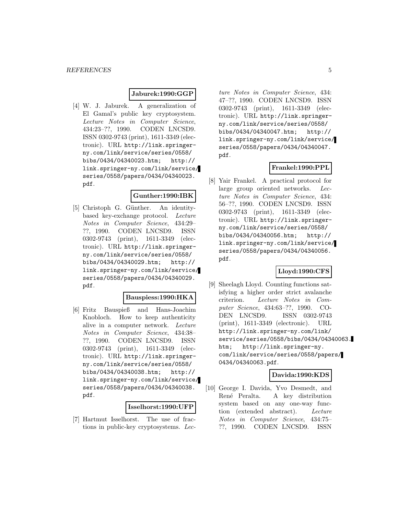#### **Jaburek:1990:GGP**

[4] W. J. Jaburek. A generalization of El Gamal's public key cryptosystem. Lecture Notes in Computer Science, 434:23–??, 1990. CODEN LNCSD9. ISSN 0302-9743 (print), 1611-3349 (electronic). URL http://link.springerny.com/link/service/series/0558/ bibs/0434/04340023.htm; http:// link.springer-ny.com/link/service/ series/0558/papers/0434/04340023. pdf.

#### **Gunther:1990:IBK**

[5] Christoph G. Günther. An identitybased key-exchange protocol. Lecture Notes in Computer Science, 434:29– ??, 1990. CODEN LNCSD9. ISSN 0302-9743 (print), 1611-3349 (electronic). URL http://link.springerny.com/link/service/series/0558/ bibs/0434/04340029.htm; http:// link.springer-ny.com/link/service/ series/0558/papers/0434/04340029. pdf.

#### **Bauspiess:1990:HKA**

[6] Fritz Bauspieß and Hans-Joachim Knobloch. How to keep authenticity alive in a computer network. Lecture Notes in Computer Science, 434:38– ??, 1990. CODEN LNCSD9. ISSN 0302-9743 (print), 1611-3349 (electronic). URL http://link.springerny.com/link/service/series/0558/ bibs/0434/04340038.htm; http:// link.springer-ny.com/link/service/ series/0558/papers/0434/04340038. pdf.

#### **Isselhorst:1990:UFP**

[7] Hartmut Isselhorst. The use of fractions in public-key cryptosystems. Lecture Notes in Computer Science, 434: 47–??, 1990. CODEN LNCSD9. ISSN 0302-9743 (print), 1611-3349 (electronic). URL http://link.springerny.com/link/service/series/0558/ bibs/0434/04340047.htm; http:// link.springer-ny.com/link/service/ series/0558/papers/0434/04340047. pdf.

#### **Frankel:1990:PPL**

[8] Yair Frankel. A practical protocol for large group oriented networks. Lecture Notes in Computer Science, 434: 56–??, 1990. CODEN LNCSD9. ISSN 0302-9743 (print), 1611-3349 (electronic). URL http://link.springerny.com/link/service/series/0558/ bibs/0434/04340056.htm; http:// link.springer-ny.com/link/service/ series/0558/papers/0434/04340056. pdf.

#### **Lloyd:1990:CFS**

[9] Sheelagh Lloyd. Counting functions satisfying a higher order strict avalanche criterion. Lecture Notes in Computer Science, 434:63–??, 1990. CO-DEN LNCSD9. ISSN 0302-9743 (print), 1611-3349 (electronic). URL http://link.springer-ny.com/link/ service/series/0558/bibs/0434/04340063. htm; http://link.springer-ny. com/link/service/series/0558/papers/ 0434/04340063.pdf.

## **Davida:1990:KDS**

[10] George I. Davida, Yvo Desmedt, and René Peralta. A key distribution system based on any one-way function (extended abstract). Lecture Notes in Computer Science, 434:75– ??, 1990. CODEN LNCSD9. ISSN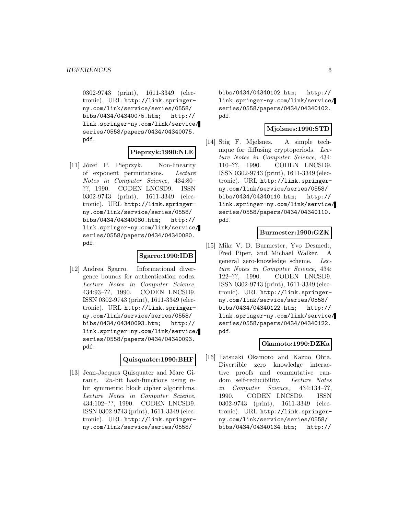0302-9743 (print), 1611-3349 (electronic). URL http://link.springerny.com/link/service/series/0558/ bibs/0434/04340075.htm; http:// link.springer-ny.com/link/service/ series/0558/papers/0434/04340075. pdf.

## **Pieprzyk:1990:NLE**

[11] Józef P. Pieprzyk. Non-linearity of exponent permutations. Lecture Notes in Computer Science, 434:80– ??, 1990. CODEN LNCSD9. ISSN 0302-9743 (print), 1611-3349 (electronic). URL http://link.springerny.com/link/service/series/0558/ bibs/0434/04340080.htm; http:// link.springer-ny.com/link/service/ series/0558/papers/0434/04340080. pdf.

#### **Sgarro:1990:IDB**

[12] Andrea Sgarro. Informational divergence bounds for authentication codes. Lecture Notes in Computer Science, 434:93–??, 1990. CODEN LNCSD9. ISSN 0302-9743 (print), 1611-3349 (electronic). URL http://link.springerny.com/link/service/series/0558/ bibs/0434/04340093.htm; http:// link.springer-ny.com/link/service/ series/0558/papers/0434/04340093. pdf.

#### **Quisquater:1990:BHF**

[13] Jean-Jacques Quisquater and Marc Girault. 2*n*-bit hash-functions using *n*bit symmetric block cipher algorithms. Lecture Notes in Computer Science, 434:102–??, 1990. CODEN LNCSD9. ISSN 0302-9743 (print), 1611-3349 (electronic). URL http://link.springerny.com/link/service/series/0558/

bibs/0434/04340102.htm; http:// link.springer-ny.com/link/service/ series/0558/papers/0434/04340102. pdf.

#### **Mjolsnes:1990:STD**

[14] Stig F. Mjølsnes. A simple technique for diffusing cryptoperiods. Lecture Notes in Computer Science, 434: 110–??, 1990. CODEN LNCSD9. ISSN 0302-9743 (print), 1611-3349 (electronic). URL http://link.springerny.com/link/service/series/0558/ bibs/0434/04340110.htm; http:// link.springer-ny.com/link/service/ series/0558/papers/0434/04340110. pdf.

#### **Burmester:1990:GZK**

[15] Mike V. D. Burmester, Yvo Desmedt, Fred Piper, and Michael Walker. A general zero-knowledge scheme. Lecture Notes in Computer Science, 434: 122–??, 1990. CODEN LNCSD9. ISSN 0302-9743 (print), 1611-3349 (electronic). URL http://link.springerny.com/link/service/series/0558/ bibs/0434/04340122.htm; http:// link.springer-ny.com/link/service/ series/0558/papers/0434/04340122. pdf.

### **Okamoto:1990:DZKa**

[16] Tatsuaki Okamoto and Kazuo Ohta. Divertible zero knowledge interactive proofs and commutative random self-reducibility. Lecture Notes in Computer Science, 434:134–??, 1990. CODEN LNCSD9. ISSN 0302-9743 (print), 1611-3349 (electronic). URL http://link.springerny.com/link/service/series/0558/ bibs/0434/04340134.htm; http://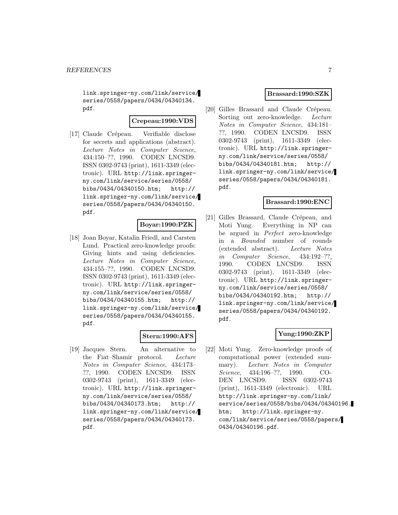link.springer-ny.com/link/service/ series/0558/papers/0434/04340134. pdf.

## **Crepeau:1990:VDS**

[17] Claude Crépeau. Verifiable disclose for secrets and applications (abstract). Lecture Notes in Computer Science, 434:150–??, 1990. CODEN LNCSD9. ISSN 0302-9743 (print), 1611-3349 (electronic). URL http://link.springerny.com/link/service/series/0558/ bibs/0434/04340150.htm; http:// link.springer-ny.com/link/service/ series/0558/papers/0434/04340150. pdf.

## **Boyar:1990:PZK**

[18] Joan Boyar, Katalin Friedl, and Carsten Lund. Practical zero-knowledge proofs: Giving hints and using deficiencies. Lecture Notes in Computer Science, 434:155–??, 1990. CODEN LNCSD9. ISSN 0302-9743 (print), 1611-3349 (electronic). URL http://link.springerny.com/link/service/series/0558/ bibs/0434/04340155.htm; http:// link.springer-ny.com/link/service/ series/0558/papers/0434/04340155. pdf.

## **Stern:1990:AFS**

[19] Jacques Stern. An alternative to the Fiat–Shamir protocol. Lecture Notes in Computer Science, 434:173– ??, 1990. CODEN LNCSD9. ISSN 0302-9743 (print), 1611-3349 (electronic). URL http://link.springerny.com/link/service/series/0558/ bibs/0434/04340173.htm; http:// link.springer-ny.com/link/service/ series/0558/papers/0434/04340173. pdf.

### **Brassard:1990:SZK**

[20] Gilles Brassard and Claude Crépeau. Sorting out zero-knowledge. Lecture Notes in Computer Science, 434:181– ??, 1990. CODEN LNCSD9. ISSN 0302-9743 (print), 1611-3349 (electronic). URL http://link.springerny.com/link/service/series/0558/ bibs/0434/04340181.htm; http:// link.springer-ny.com/link/service/ series/0558/papers/0434/04340181. pdf.

#### **Brassard:1990:ENC**

[21] Gilles Brassard, Claude Crépeau, and Moti Yung. Everything in NP can be argued in Perfect zero-knowledge in a Bounded number of rounds (extended abstract). Lecture Notes in Computer Science, 434:192–??, 1990. CODEN LNCSD9. ISSN 0302-9743 (print), 1611-3349 (electronic). URL http://link.springerny.com/link/service/series/0558/ bibs/0434/04340192.htm; http:// link.springer-ny.com/link/service/ series/0558/papers/0434/04340192. pdf.

## **Yung:1990:ZKP**

[22] Moti Yung. Zero-knowledge proofs of computational power (extended summary). Lecture Notes in Computer Science, 434:196–??, 1990. CO-DEN LNCSD9. ISSN 0302-9743 (print), 1611-3349 (electronic). URL http://link.springer-ny.com/link/ service/series/0558/bibs/0434/04340196. htm; http://link.springer-ny. com/link/service/series/0558/papers/ 0434/04340196.pdf.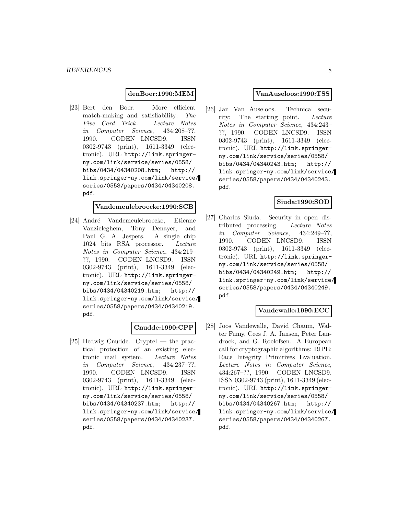#### **denBoer:1990:MEM**

[23] Bert den Boer. More efficient match-making and satisfiability: The Five Card Trick. Lecture Notes in Computer Science, 434:208–??, 1990. CODEN LNCSD9. ISSN 0302-9743 (print), 1611-3349 (electronic). URL http://link.springerny.com/link/service/series/0558/ bibs/0434/04340208.htm; http:// link.springer-ny.com/link/service/ series/0558/papers/0434/04340208. pdf.

#### **Vandemeulebroecke:1990:SCB**

[24] André Vandemeulebroecke, Etienne Vanzieleghem, Tony Denayer, and Paul G. A. Jespers. A single chip 1024 bits RSA processor. Lecture Notes in Computer Science, 434:219– ??, 1990. CODEN LNCSD9. ISSN 0302-9743 (print), 1611-3349 (electronic). URL http://link.springerny.com/link/service/series/0558/ bibs/0434/04340219.htm; http:// link.springer-ny.com/link/service/ series/0558/papers/0434/04340219. pdf.

#### **Cnudde:1990:CPP**

[25] Hedwig Cnudde. Cryptel — the practical protection of an existing electronic mail system. Lecture Notes in Computer Science, 434:237–??, 1990. CODEN LNCSD9. ISSN 0302-9743 (print), 1611-3349 (electronic). URL http://link.springerny.com/link/service/series/0558/ bibs/0434/04340237.htm; http:// link.springer-ny.com/link/service/ series/0558/papers/0434/04340237. pdf.

#### **VanAuseloos:1990:TSS**

[26] Jan Van Auseloos. Technical security: The starting point. Lecture Notes in Computer Science, 434:243– ??, 1990. CODEN LNCSD9. ISSN 0302-9743 (print), 1611-3349 (electronic). URL http://link.springerny.com/link/service/series/0558/ bibs/0434/04340243.htm; http:// link.springer-ny.com/link/service/ series/0558/papers/0434/04340243. pdf.

#### **Siuda:1990:SOD**

[27] Charles Siuda. Security in open distributed processing. Lecture Notes in Computer Science, 434:249–??, 1990. CODEN LNCSD9. ISSN 0302-9743 (print), 1611-3349 (electronic). URL http://link.springerny.com/link/service/series/0558/ bibs/0434/04340249.htm; http:// link.springer-ny.com/link/service/ series/0558/papers/0434/04340249. pdf.

## **Vandewalle:1990:ECC**

[28] Joos Vandewalle, David Chaum, Walter Fumy, Cees J. A. Jansen, Peter Landrock, and G. Roelofsen. A European call for cryptographic algorithms: RIPE: Race Integrity Primitives Evaluation. Lecture Notes in Computer Science, 434:267–??, 1990. CODEN LNCSD9. ISSN 0302-9743 (print), 1611-3349 (electronic). URL http://link.springerny.com/link/service/series/0558/ bibs/0434/04340267.htm; http:// link.springer-ny.com/link/service/ series/0558/papers/0434/04340267. pdf.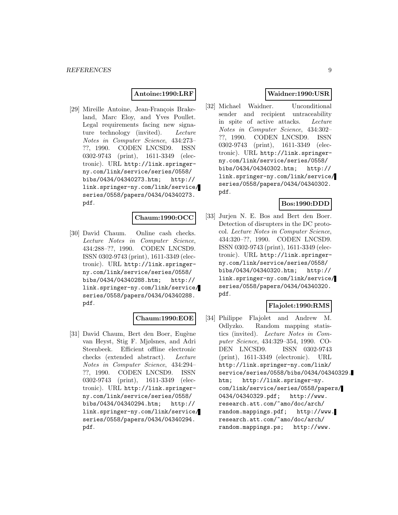#### **Antoine:1990:LRF**

[29] Mireille Antoine, Jean-François Brakeland, Marc Eloy, and Yves Poullet. Legal requirements facing new signature technology (invited). Lecture Notes in Computer Science, 434:273– ??, 1990. CODEN LNCSD9. ISSN 0302-9743 (print), 1611-3349 (electronic). URL http://link.springerny.com/link/service/series/0558/ bibs/0434/04340273.htm; http:// link.springer-ny.com/link/service/ series/0558/papers/0434/04340273. pdf.

#### **Chaum:1990:OCC**

[30] David Chaum. Online cash checks. Lecture Notes in Computer Science, 434:288–??, 1990. CODEN LNCSD9. ISSN 0302-9743 (print), 1611-3349 (electronic). URL http://link.springerny.com/link/service/series/0558/ bibs/0434/04340288.htm; http:// link.springer-ny.com/link/service/ series/0558/papers/0434/04340288. pdf.

#### **Chaum:1990:EOE**

[31] David Chaum, Bert den Boer, Eugène van Heyst, Stig F. Mjølsnes, and Adri Steenbeek. Efficient offline electronic checks (extended abstract). Lecture Notes in Computer Science, 434:294– ??, 1990. CODEN LNCSD9. ISSN 0302-9743 (print), 1611-3349 (electronic). URL http://link.springerny.com/link/service/series/0558/ bibs/0434/04340294.htm; http:// link.springer-ny.com/link/service/ series/0558/papers/0434/04340294. pdf.

## **Waidner:1990:USR**

[32] Michael Waidner. Unconditional sender and recipient untraceability in spite of active attacks. Lecture Notes in Computer Science, 434:302– ??, 1990. CODEN LNCSD9. ISSN 0302-9743 (print), 1611-3349 (electronic). URL http://link.springerny.com/link/service/series/0558/ bibs/0434/04340302.htm; http:// link.springer-ny.com/link/service/ series/0558/papers/0434/04340302. pdf.

## **Bos:1990:DDD**

[33] Jurjen N. E. Bos and Bert den Boer. Detection of disrupters in the DC protocol. Lecture Notes in Computer Science, 434:320–??, 1990. CODEN LNCSD9. ISSN 0302-9743 (print), 1611-3349 (electronic). URL http://link.springerny.com/link/service/series/0558/ bibs/0434/04340320.htm; http:// link.springer-ny.com/link/service/ series/0558/papers/0434/04340320. pdf.

#### **Flajolet:1990:RMS**

[34] Philippe Flajolet and Andrew M. Odlyzko. Random mapping statistics (invited). Lecture Notes in Computer Science, 434:329–354, 1990. CO-DEN LNCSD9. ISSN 0302-9743 (print), 1611-3349 (electronic). URL http://link.springer-ny.com/link/ service/series/0558/bibs/0434/04340329. htm; http://link.springer-ny. com/link/service/series/0558/papers/ 0434/04340329.pdf; http://www. research.att.com/~amo/doc/arch/ random.mappings.pdf; http://www. research.att.com/~amo/doc/arch/ random.mappings.ps; http://www.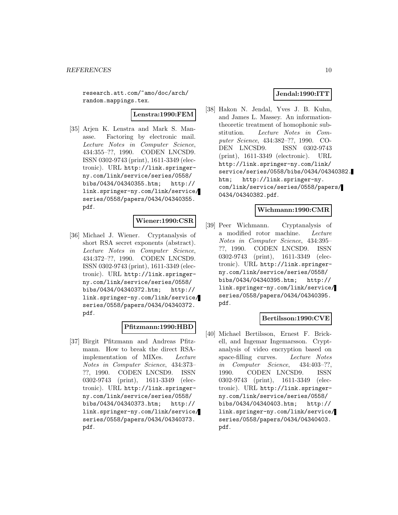research.att.com/~amo/doc/arch/ random.mappings.tex.

**Lenstra:1990:FEM**

[35] Arjen K. Lenstra and Mark S. Manasse. Factoring by electronic mail. Lecture Notes in Computer Science, 434:355–??, 1990. CODEN LNCSD9. ISSN 0302-9743 (print), 1611-3349 (electronic). URL http://link.springerny.com/link/service/series/0558/ bibs/0434/04340355.htm; http:// link.springer-ny.com/link/service/ series/0558/papers/0434/04340355. pdf.

## **Wiener:1990:CSR**

[36] Michael J. Wiener. Cryptanalysis of short RSA secret exponents (abstract). Lecture Notes in Computer Science, 434:372–??, 1990. CODEN LNCSD9. ISSN 0302-9743 (print), 1611-3349 (electronic). URL http://link.springerny.com/link/service/series/0558/ bibs/0434/04340372.htm; http:// link.springer-ny.com/link/service/ series/0558/papers/0434/04340372. pdf.

#### **Pfitzmann:1990:HBD**

[37] Birgit Pfitzmann and Andreas Pfitzmann. How to break the direct RSAimplementation of MIXes. Lecture Notes in Computer Science, 434:373– ??, 1990. CODEN LNCSD9. ISSN 0302-9743 (print), 1611-3349 (electronic). URL http://link.springerny.com/link/service/series/0558/ bibs/0434/04340373.htm; http:// link.springer-ny.com/link/service/ series/0558/papers/0434/04340373. pdf.

### **Jendal:1990:ITT**

[38] Hakon N. Jendal, Yves J. B. Kuhn, and James L. Massey. An informationtheoretic treatment of homophonic substitution. Lecture Notes in Computer Science, 434:382–??, 1990. CO-DEN LNCSD9. ISSN 0302-9743 (print), 1611-3349 (electronic). URL http://link.springer-ny.com/link/ service/series/0558/bibs/0434/04340382. htm; http://link.springer-ny. com/link/service/series/0558/papers/ 0434/04340382.pdf.

#### **Wichmann:1990:CMR**

[39] Peer Wichmann. Cryptanalysis of a modified rotor machine. Lecture Notes in Computer Science, 434:395– ??, 1990. CODEN LNCSD9. ISSN 0302-9743 (print), 1611-3349 (electronic). URL http://link.springerny.com/link/service/series/0558/ bibs/0434/04340395.htm; http:// link.springer-ny.com/link/service/ series/0558/papers/0434/04340395. pdf.

## **Bertilsson:1990:CVE**

[40] Michael Bertilsson, Ernest F. Brickell, and Ingemar Ingemarsson. Cryptanalysis of video encryption based on space-filling curves. Lecture Notes in Computer Science, 434:403–??, 1990. CODEN LNCSD9. ISSN 0302-9743 (print), 1611-3349 (electronic). URL http://link.springerny.com/link/service/series/0558/ bibs/0434/04340403.htm; http:// link.springer-ny.com/link/service/ series/0558/papers/0434/04340403. pdf.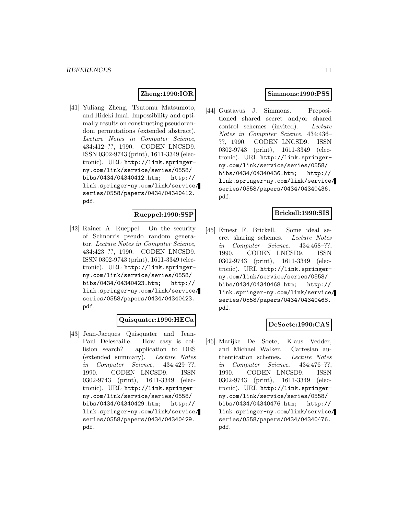## **Zheng:1990:IOR**

[41] Yuliang Zheng, Tsutomu Matsumoto, and Hideki Imai. Impossibility and optimally results on constructing pseudorandom permutations (extended abstract). Lecture Notes in Computer Science, 434:412–??, 1990. CODEN LNCSD9. ISSN 0302-9743 (print), 1611-3349 (electronic). URL http://link.springerny.com/link/service/series/0558/ bibs/0434/04340412.htm; http:// link.springer-ny.com/link/service/ series/0558/papers/0434/04340412. pdf.

## **Rueppel:1990:SSP**

[42] Rainer A. Rueppel. On the security of Schnorr's pseudo random generator. Lecture Notes in Computer Science, 434:423–??, 1990. CODEN LNCSD9. ISSN 0302-9743 (print), 1611-3349 (electronic). URL http://link.springerny.com/link/service/series/0558/ bibs/0434/04340423.htm; http:// link.springer-ny.com/link/service/ series/0558/papers/0434/04340423. pdf.

#### **Quisquater:1990:HECa**

[43] Jean-Jacques Quisquater and Jean-Paul Delescaille. How easy is collision search? application to DES (extended summary). Lecture Notes in Computer Science, 434:429–??, 1990. CODEN LNCSD9. ISSN 0302-9743 (print), 1611-3349 (electronic). URL http://link.springerny.com/link/service/series/0558/ bibs/0434/04340429.htm; http:// link.springer-ny.com/link/service/ series/0558/papers/0434/04340429. pdf.

#### **Simmons:1990:PSS**

[44] Gustavus J. Simmons. Prepositioned shared secret and/or shared control schemes (invited). Lecture Notes in Computer Science, 434:436– ??, 1990. CODEN LNCSD9. ISSN 0302-9743 (print), 1611-3349 (electronic). URL http://link.springerny.com/link/service/series/0558/ bibs/0434/04340436.htm; http:// link.springer-ny.com/link/service/ series/0558/papers/0434/04340436. pdf.

#### **Brickell:1990:SIS**

[45] Ernest F. Brickell. Some ideal secret sharing schemes. Lecture Notes in Computer Science, 434:468–??, 1990. CODEN LNCSD9. ISSN 0302-9743 (print), 1611-3349 (electronic). URL http://link.springerny.com/link/service/series/0558/ bibs/0434/04340468.htm; http:// link.springer-ny.com/link/service/ series/0558/papers/0434/04340468. pdf.

#### **DeSoete:1990:CAS**

[46] Marijke De Soete, Klaus Vedder, and Michael Walker. Cartesian authentication schemes. Lecture Notes in Computer Science, 434:476–??, 1990. CODEN LNCSD9. ISSN 0302-9743 (print), 1611-3349 (electronic). URL http://link.springerny.com/link/service/series/0558/ bibs/0434/04340476.htm; http:// link.springer-ny.com/link/service/ series/0558/papers/0434/04340476. pdf.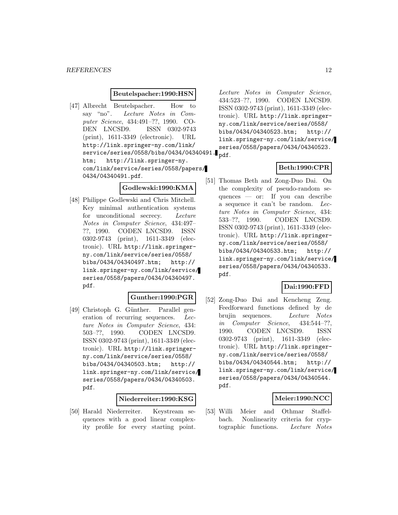#### **Beutelspacher:1990:HSN**

[47] Albrecht Beutelspacher. How to say "no". Lecture Notes in Computer Science, 434:491–??, 1990. CO-DEN LNCSD9. ISSN 0302-9743 (print), 1611-3349 (electronic). URL http://link.springer-ny.com/link/ service/series/0558/bibs/0434/04340491. pdf. htm; http://link.springer-ny. com/link/service/series/0558/papers/ 0434/04340491.pdf.

**Godlewski:1990:KMA**

[48] Philippe Godlewski and Chris Mitchell. Key minimal authentication systems for unconditional secrecy. Lecture Notes in Computer Science, 434:497– ??, 1990. CODEN LNCSD9. ISSN 0302-9743 (print), 1611-3349 (electronic). URL http://link.springerny.com/link/service/series/0558/ bibs/0434/04340497.htm; http:// link.springer-ny.com/link/service/ series/0558/papers/0434/04340497. pdf.

## **Gunther:1990:PGR**

[49] Christoph G. Günther. Parallel generation of recurring sequences. Lecture Notes in Computer Science, 434: 503–??, 1990. CODEN LNCSD9. ISSN 0302-9743 (print), 1611-3349 (electronic). URL http://link.springerny.com/link/service/series/0558/ bibs/0434/04340503.htm; http:// link.springer-ny.com/link/service/ series/0558/papers/0434/04340503. pdf.

## **Niederreiter:1990:KSG**

[50] Harald Niederreiter. Keystream sequences with a good linear complexity profile for every starting point.

Lecture Notes in Computer Science, 434:523–??, 1990. CODEN LNCSD9. ISSN 0302-9743 (print), 1611-3349 (electronic). URL http://link.springerny.com/link/service/series/0558/ bibs/0434/04340523.htm; http:// link.springer-ny.com/link/service/ series/0558/papers/0434/04340523.

#### **Beth:1990:CPR**

[51] Thomas Beth and Zong-Duo Dai. On the complexity of pseudo-random sequences — or: If you can describe a sequence it can't be random. Lecture Notes in Computer Science, 434: 533–??, 1990. CODEN LNCSD9. ISSN 0302-9743 (print), 1611-3349 (electronic). URL http://link.springerny.com/link/service/series/0558/ bibs/0434/04340533.htm; http:// link.springer-ny.com/link/service/ series/0558/papers/0434/04340533. pdf.

#### **Dai:1990:FFD**

[52] Zong-Duo Dai and Kencheng Zeng. Feedforward functions defined by de brujin sequences. Lecture Notes in Computer Science, 434:544–??, 1990. CODEN LNCSD9. ISSN 0302-9743 (print), 1611-3349 (electronic). URL http://link.springerny.com/link/service/series/0558/ bibs/0434/04340544.htm; http:// link.springer-ny.com/link/service/ series/0558/papers/0434/04340544. pdf.

#### **Meier:1990:NCC**

[53] Willi Meier and Othmar Staffelbach. Nonlinearity criteria for cryptographic functions. Lecture Notes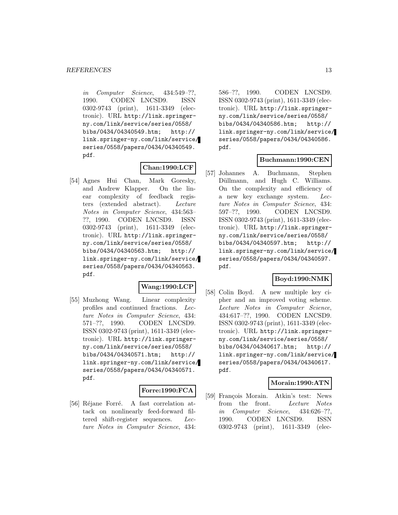in Computer Science, 434:549–??, 1990. CODEN LNCSD9. ISSN 0302-9743 (print), 1611-3349 (electronic). URL http://link.springerny.com/link/service/series/0558/ bibs/0434/04340549.htm; http:// link.springer-ny.com/link/service/ series/0558/papers/0434/04340549. pdf.

#### **Chan:1990:LCF**

[54] Agnes Hui Chan, Mark Goresky, and Andrew Klapper. On the linear complexity of feedback registers (extended abstract). Lecture Notes in Computer Science, 434:563– ??, 1990. CODEN LNCSD9. ISSN 0302-9743 (print), 1611-3349 (electronic). URL http://link.springerny.com/link/service/series/0558/ bibs/0434/04340563.htm; http:// link.springer-ny.com/link/service/ series/0558/papers/0434/04340563. pdf.

#### **Wang:1990:LCP**

[55] Muzhong Wang. Linear complexity profiles and continued fractions. Lecture Notes in Computer Science, 434: 571–??, 1990. CODEN LNCSD9. ISSN 0302-9743 (print), 1611-3349 (electronic). URL http://link.springerny.com/link/service/series/0558/ bibs/0434/04340571.htm; http:// link.springer-ny.com/link/service/ series/0558/papers/0434/04340571. pdf.

#### **Forre:1990:FCA**

[56] Réjane Forré. A fast correlation attack on nonlinearly feed-forward filtered shift-register sequences. Lecture Notes in Computer Science, 434:

586–??, 1990. CODEN LNCSD9. ISSN 0302-9743 (print), 1611-3349 (electronic). URL http://link.springerny.com/link/service/series/0558/ bibs/0434/04340586.htm; http:// link.springer-ny.com/link/service/ series/0558/papers/0434/04340586. pdf.

#### **Buchmann:1990:CEN**

[57] Johannes A. Buchmann, Stephen Düllmann, and Hugh C. Williams. On the complexity and efficiency of a new key exchange system. Lecture Notes in Computer Science, 434: 597–??, 1990. CODEN LNCSD9. ISSN 0302-9743 (print), 1611-3349 (electronic). URL http://link.springerny.com/link/service/series/0558/ bibs/0434/04340597.htm; http:// link.springer-ny.com/link/service/ series/0558/papers/0434/04340597. pdf.

## **Boyd:1990:NMK**

[58] Colin Boyd. A new multiple key cipher and an improved voting scheme. Lecture Notes in Computer Science, 434:617–??, 1990. CODEN LNCSD9. ISSN 0302-9743 (print), 1611-3349 (electronic). URL http://link.springerny.com/link/service/series/0558/ bibs/0434/04340617.htm; http:// link.springer-ny.com/link/service/ series/0558/papers/0434/04340617. pdf.

#### **Morain:1990:ATN**

[59] François Morain. Atkin's test: News from the front. Lecture Notes in Computer Science, 434:626–??, 1990. CODEN LNCSD9. ISSN 0302-9743 (print), 1611-3349 (elec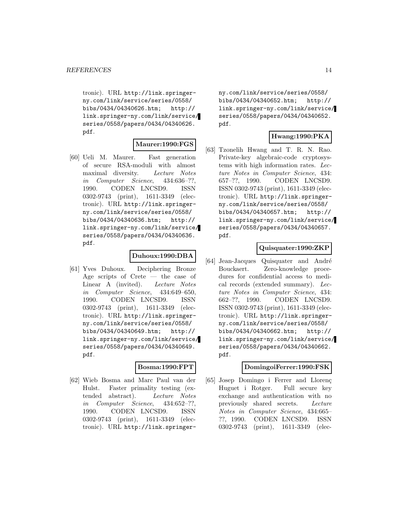tronic). URL http://link.springerny.com/link/service/series/0558/ bibs/0434/04340626.htm; http:// link.springer-ny.com/link/service/ series/0558/papers/0434/04340626. pdf.

#### **Maurer:1990:FGS**

[60] Ueli M. Maurer. Fast generation of secure RSA-moduli with almost maximal diversity. Lecture Notes in Computer Science, 434:636–??, 1990. CODEN LNCSD9. ISSN 0302-9743 (print), 1611-3349 (electronic). URL http://link.springerny.com/link/service/series/0558/ bibs/0434/04340636.htm; http:// link.springer-ny.com/link/service/ series/0558/papers/0434/04340636. pdf.

#### **Duhoux:1990:DBA**

[61] Yves Duhoux. Deciphering Bronze Age scripts of Crete — the case of Linear A (invited). Lecture Notes in Computer Science, 434:649–650, 1990. CODEN LNCSD9. ISSN 0302-9743 (print), 1611-3349 (electronic). URL http://link.springerny.com/link/service/series/0558/ bibs/0434/04340649.htm; http:// link.springer-ny.com/link/service/ series/0558/papers/0434/04340649. pdf.

#### **Bosma:1990:FPT**

[62] Wieb Bosma and Marc Paul van der Hulst. Faster primality testing (extended abstract). Lecture Notes in Computer Science, 434:652–??, 1990. CODEN LNCSD9. ISSN 0302-9743 (print), 1611-3349 (electronic). URL http://link.springerny.com/link/service/series/0558/ bibs/0434/04340652.htm; http:// link.springer-ny.com/link/service/ series/0558/papers/0434/04340652. pdf.

## **Hwang:1990:PKA**

[63] Tzonelih Hwang and T. R. N. Rao. Private-key algebraic-code cryptosystems with high information rates. Lecture Notes in Computer Science, 434: 657–??, 1990. CODEN LNCSD9. ISSN 0302-9743 (print), 1611-3349 (electronic). URL http://link.springerny.com/link/service/series/0558/ bibs/0434/04340657.htm; http:// link.springer-ny.com/link/service/ series/0558/papers/0434/04340657. pdf.

#### **Quisquater:1990:ZKP**

[64] Jean-Jacques Quisquater and André Bouckaert. Zero-knowledge procedures for confidential access to medical records (extended summary). Lecture Notes in Computer Science, 434: 662–??, 1990. CODEN LNCSD9. ISSN 0302-9743 (print), 1611-3349 (electronic). URL http://link.springerny.com/link/service/series/0558/ bibs/0434/04340662.htm; http:// link.springer-ny.com/link/service/ series/0558/papers/0434/04340662. pdf.

#### **DomingoiFerrer:1990:FSK**

[65] Josep Domingo i Ferrer and Llorenç Huguet i Rotger. Full secure key exchange and authentication with no previously shared secrets. Lecture Notes in Computer Science, 434:665– ??, 1990. CODEN LNCSD9. ISSN 0302-9743 (print), 1611-3349 (elec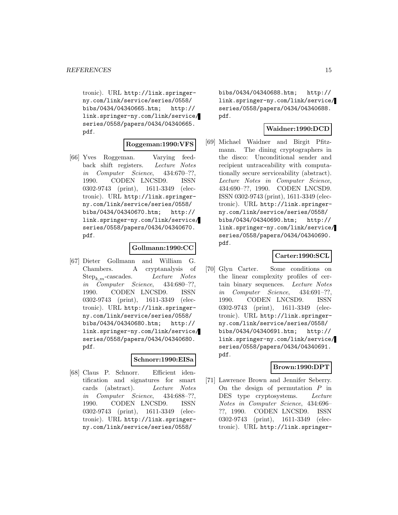tronic). URL http://link.springerny.com/link/service/series/0558/ bibs/0434/04340665.htm; http:// link.springer-ny.com/link/service/ series/0558/papers/0434/04340665. pdf.

#### **Roggeman:1990:VFS**

[66] Yves Roggeman. Varying feedback shift registers. Lecture Notes in Computer Science, 434:670–??, 1990. CODEN LNCSD9. ISSN 0302-9743 (print), 1611-3349 (electronic). URL http://link.springerny.com/link/service/series/0558/ bibs/0434/04340670.htm; http:// link.springer-ny.com/link/service/ series/0558/papers/0434/04340670. pdf.

#### **Gollmann:1990:CC**

[67] Dieter Gollmann and William G. Chambers. A cryptanalysis of  $Step_{k,m}$ -cascades. Lecture Notes in Computer Science, 434:680–??, 1990. CODEN LNCSD9. ISSN 0302-9743 (print), 1611-3349 (electronic). URL http://link.springerny.com/link/service/series/0558/ bibs/0434/04340680.htm; http:// link.springer-ny.com/link/service/ series/0558/papers/0434/04340680. pdf.

#### **Schnorr:1990:EISa**

[68] Claus P. Schnorr. Efficient identification and signatures for smart cards (abstract). Lecture Notes in Computer Science, 434:688–??, 1990. CODEN LNCSD9. ISSN 0302-9743 (print), 1611-3349 (electronic). URL http://link.springerny.com/link/service/series/0558/

bibs/0434/04340688.htm; http:// link.springer-ny.com/link/service/ series/0558/papers/0434/04340688. pdf.

### **Waidner:1990:DCD**

[69] Michael Waidner and Birgit Pfitzmann. The dining cryptographers in the disco: Unconditional sender and recipient untraceability with computationally secure serviceability (abstract). Lecture Notes in Computer Science, 434:690–??, 1990. CODEN LNCSD9. ISSN 0302-9743 (print), 1611-3349 (electronic). URL http://link.springerny.com/link/service/series/0558/ bibs/0434/04340690.htm; http:// link.springer-ny.com/link/service/ series/0558/papers/0434/04340690. pdf.

#### **Carter:1990:SCL**

[70] Glyn Carter. Some conditions on the linear complexity profiles of certain binary sequences. Lecture Notes in Computer Science, 434:691–??, 1990. CODEN LNCSD9. ISSN 0302-9743 (print), 1611-3349 (electronic). URL http://link.springerny.com/link/service/series/0558/ bibs/0434/04340691.htm; http:// link.springer-ny.com/link/service/ series/0558/papers/0434/04340691. pdf.

#### **Brown:1990:DPT**

[71] Lawrence Brown and Jennifer Seberry. On the design of permutation  $P$  in DES type cryptosystems. Lecture Notes in Computer Science, 434:696– ??, 1990. CODEN LNCSD9. ISSN 0302-9743 (print), 1611-3349 (electronic). URL http://link.springer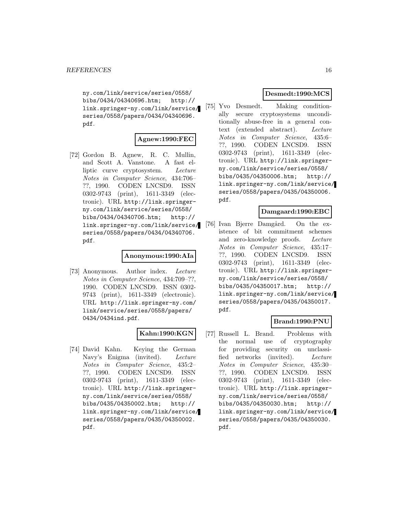ny.com/link/service/series/0558/ bibs/0434/04340696.htm; http:// link.springer-ny.com/link/service/ series/0558/papers/0434/04340696. pdf.

## **Agnew:1990:FEC**

[72] Gordon B. Agnew, R. C. Mullin, and Scott A. Vanstone. A fast elliptic curve cryptosystem. Lecture Notes in Computer Science, 434:706– ??, 1990. CODEN LNCSD9. ISSN 0302-9743 (print), 1611-3349 (electronic). URL http://link.springerny.com/link/service/series/0558/ bibs/0434/04340706.htm; http:// link.springer-ny.com/link/service/ series/0558/papers/0434/04340706. pdf.

#### **Anonymous:1990:AIa**

[73] Anonymous. Author index. Lecture Notes in Computer Science, 434:709–??, 1990. CODEN LNCSD9. ISSN 0302- 9743 (print), 1611-3349 (electronic). URL http://link.springer-ny.com/ link/service/series/0558/papers/ 0434/0434ind.pdf.

## **Kahn:1990:KGN**

[74] David Kahn. Keying the German Navy's Enigma (invited). Lecture Notes in Computer Science, 435:2– ??, 1990. CODEN LNCSD9. ISSN 0302-9743 (print), 1611-3349 (electronic). URL http://link.springerny.com/link/service/series/0558/ bibs/0435/04350002.htm; http:// link.springer-ny.com/link/service/ series/0558/papers/0435/04350002. pdf.

## **Desmedt:1990:MCS**

[75] Yvo Desmedt. Making conditionally secure cryptosystems unconditionally abuse-free in a general context (extended abstract). Lecture Notes in Computer Science, 435:6– ??, 1990. CODEN LNCSD9. ISSN 0302-9743 (print), 1611-3349 (electronic). URL http://link.springerny.com/link/service/series/0558/ bibs/0435/04350006.htm; http:// link.springer-ny.com/link/service/ series/0558/papers/0435/04350006. pdf.

#### **Damgaard:1990:EBC**

[76] Ivan Bjerre Damgård. On the existence of bit commitment schemes and zero-knowledge proofs. Lecture Notes in Computer Science, 435:17– ??, 1990. CODEN LNCSD9. ISSN 0302-9743 (print), 1611-3349 (electronic). URL http://link.springerny.com/link/service/series/0558/ bibs/0435/04350017.htm; http:// link.springer-ny.com/link/service/ series/0558/papers/0435/04350017. pdf.

## **Brand:1990:PNU**

[77] Russell L. Brand. Problems with the normal use of cryptography for providing security on unclassified networks (invited). Lecture Notes in Computer Science, 435:30– ??, 1990. CODEN LNCSD9. ISSN 0302-9743 (print), 1611-3349 (electronic). URL http://link.springerny.com/link/service/series/0558/ bibs/0435/04350030.htm; http:// link.springer-ny.com/link/service/ series/0558/papers/0435/04350030. pdf.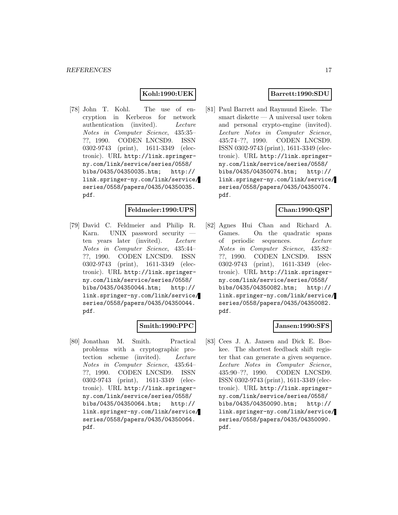## **Kohl:1990:UEK**

[78] John T. Kohl. The use of encryption in Kerberos for network authentication (invited). Lecture Notes in Computer Science, 435:35– ??, 1990. CODEN LNCSD9. ISSN 0302-9743 (print), 1611-3349 (electronic). URL http://link.springerny.com/link/service/series/0558/ bibs/0435/04350035.htm; http:// link.springer-ny.com/link/service/ series/0558/papers/0435/04350035. pdf.

#### **Feldmeier:1990:UPS**

[79] David C. Feldmeier and Philip R. Karn. UNIX password security ten years later (invited). Lecture Notes in Computer Science, 435:44– ??, 1990. CODEN LNCSD9. ISSN 0302-9743 (print), 1611-3349 (electronic). URL http://link.springerny.com/link/service/series/0558/ bibs/0435/04350044.htm; http:// link.springer-ny.com/link/service/ series/0558/papers/0435/04350044. pdf.

## **Smith:1990:PPC**

[80] Jonathan M. Smith. Practical problems with a cryptographic protection scheme (invited). Lecture Notes in Computer Science, 435:64– ??, 1990. CODEN LNCSD9. ISSN 0302-9743 (print), 1611-3349 (electronic). URL http://link.springerny.com/link/service/series/0558/ bibs/0435/04350064.htm; http:// link.springer-ny.com/link/service/ series/0558/papers/0435/04350064. pdf.

### **Barrett:1990:SDU**

[81] Paul Barrett and Raymund Eisele. The smart diskette — A universal user token and personal crypto-engine (invited). Lecture Notes in Computer Science, 435:74–??, 1990. CODEN LNCSD9. ISSN 0302-9743 (print), 1611-3349 (electronic). URL http://link.springerny.com/link/service/series/0558/ bibs/0435/04350074.htm; http:// link.springer-ny.com/link/service/ series/0558/papers/0435/04350074. pdf.

#### **Chan:1990:QSP**

[82] Agnes Hui Chan and Richard A. Games. On the quadratic spans of periodic sequences. Lecture Notes in Computer Science, 435:82– ??, 1990. CODEN LNCSD9. ISSN 0302-9743 (print), 1611-3349 (electronic). URL http://link.springerny.com/link/service/series/0558/ bibs/0435/04350082.htm; http:// link.springer-ny.com/link/service/ series/0558/papers/0435/04350082. pdf.

#### **Jansen:1990:SFS**

[83] Cees J. A. Jansen and Dick E. Boekee. The shortest feedback shift register that can generate a given sequence. Lecture Notes in Computer Science, 435:90–??, 1990. CODEN LNCSD9. ISSN 0302-9743 (print), 1611-3349 (electronic). URL http://link.springerny.com/link/service/series/0558/ bibs/0435/04350090.htm; http:// link.springer-ny.com/link/service/ series/0558/papers/0435/04350090. pdf.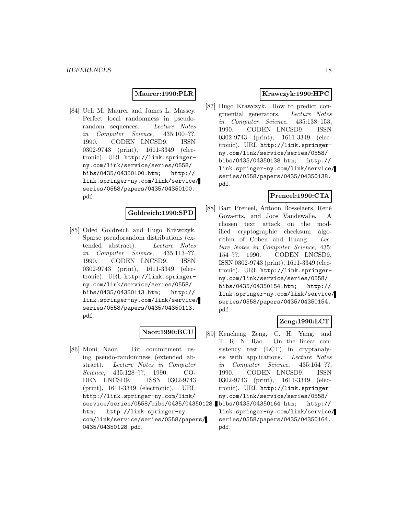#### **Maurer:1990:PLR**

[84] Ueli M. Maurer and James L. Massey. Perfect local randomness in pseudorandom sequences. Lecture Notes in Computer Science, 435:100–??, 1990. CODEN LNCSD9. ISSN 0302-9743 (print), 1611-3349 (electronic). URL http://link.springerny.com/link/service/series/0558/ bibs/0435/04350100.htm; http:// link.springer-ny.com/link/service/ series/0558/papers/0435/04350100. pdf.

#### **Goldreich:1990:SPD**

[85] Oded Goldreich and Hugo Krawczyk. Sparse pseudorandom distributions (extended abstract). Lecture Notes in Computer Science, 435:113–??, 1990. CODEN LNCSD9. ISSN 0302-9743 (print), 1611-3349 (electronic). URL http://link.springerny.com/link/service/series/0558/ bibs/0435/04350113.htm; http:// link.springer-ny.com/link/service/ series/0558/papers/0435/04350113. pdf.

#### **Naor:1990:BCU**

[86] Moni Naor. Bit commitment using pseudo-randomness (extended abstract). Lecture Notes in Computer Science, 435:128–??, 1990. CO-DEN LNCSD9. ISSN 0302-9743 (print), 1611-3349 (electronic). URL http://link.springer-ny.com/link/ service/series/0558/bibs/0435/04350128. htm; http://link.springer-ny. com/link/service/series/0558/papers/ 0435/04350128.pdf.

## **Krawczyk:1990:HPC**

[87] Hugo Krawczyk. How to predict congruential generators. Lecture Notes in Computer Science, 435:138–153, 1990. CODEN LNCSD9. ISSN 0302-9743 (print), 1611-3349 (electronic). URL http://link.springerny.com/link/service/series/0558/ bibs/0435/04350138.htm; http:// link.springer-ny.com/link/service/ series/0558/papers/0435/04350138. pdf.

#### **Preneel:1990:CTA**

[88] Bart Preneel, Antoon Bosselaers, René Govaerts, and Joos Vandewalle. A chosen text attack on the modified cryptographic checksum algorithm of Cohen and Huang. Lecture Notes in Computer Science, 435: 154–??, 1990. CODEN LNCSD9. ISSN 0302-9743 (print), 1611-3349 (electronic). URL http://link.springerny.com/link/service/series/0558/ bibs/0435/04350154.htm; http:// link.springer-ny.com/link/service/ series/0558/papers/0435/04350154. pdf.

## **Zeng:1990:LCT**

[89] Kencheng Zeng, C. H. Yang, and T. R. N. Rao. On the linear consistency test (LCT) in cryptanalysis with applications. Lecture Notes in Computer Science, 435:164–??, 1990. CODEN LNCSD9. ISSN 0302-9743 (print), 1611-3349 (electronic). URL http://link.springerny.com/link/service/series/0558/ bibs/0435/04350164.htm; http://

link.springer-ny.com/link/service/ series/0558/papers/0435/04350164. pdf.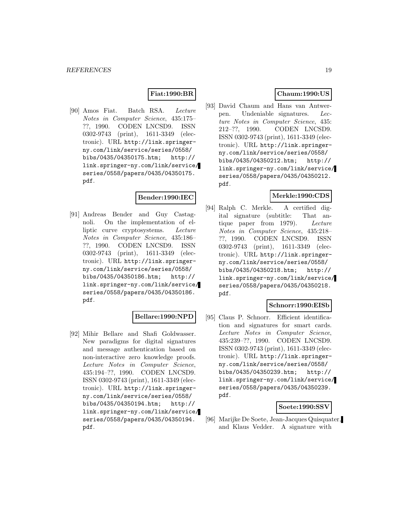#### **Fiat:1990:BR**

[90] Amos Fiat. Batch RSA. Lecture Notes in Computer Science, 435:175– ??, 1990. CODEN LNCSD9. ISSN 0302-9743 (print), 1611-3349 (electronic). URL http://link.springerny.com/link/service/series/0558/ bibs/0435/04350175.htm; http:// link.springer-ny.com/link/service/ series/0558/papers/0435/04350175. pdf.

#### **Bender:1990:IEC**

[91] Andreas Bender and Guy Castagnoli. On the implementation of elliptic curve cryptosystems. Lecture Notes in Computer Science, 435:186– ??, 1990. CODEN LNCSD9. ISSN 0302-9743 (print), 1611-3349 (electronic). URL http://link.springerny.com/link/service/series/0558/ bibs/0435/04350186.htm; http:// link.springer-ny.com/link/service/ series/0558/papers/0435/04350186. pdf.

## **Bellare:1990:NPD**

[92] Mihir Bellare and Shafi Goldwasser. New paradigms for digital signatures and message authentication based on non-interactive zero knowledge proofs. Lecture Notes in Computer Science, 435:194–??, 1990. CODEN LNCSD9. ISSN 0302-9743 (print), 1611-3349 (electronic). URL http://link.springerny.com/link/service/series/0558/ bibs/0435/04350194.htm; http:// link.springer-ny.com/link/service/ series/0558/papers/0435/04350194. pdf.

### **Chaum:1990:US**

[93] David Chaum and Hans van Antwerpen. Undeniable signatures. Lecture Notes in Computer Science, 435: 212–??, 1990. CODEN LNCSD9. ISSN 0302-9743 (print), 1611-3349 (electronic). URL http://link.springerny.com/link/service/series/0558/ bibs/0435/04350212.htm; http:// link.springer-ny.com/link/service/ series/0558/papers/0435/04350212. pdf.

#### **Merkle:1990:CDS**

[94] Ralph C. Merkle. A certified digital signature (subtitle: That antique paper from 1979). Lecture Notes in Computer Science, 435:218– ??, 1990. CODEN LNCSD9. ISSN 0302-9743 (print), 1611-3349 (electronic). URL http://link.springerny.com/link/service/series/0558/ bibs/0435/04350218.htm; http:// link.springer-ny.com/link/service/ series/0558/papers/0435/04350218. pdf.

#### **Schnorr:1990:EISb**

[95] Claus P. Schnorr. Efficient identification and signatures for smart cards. Lecture Notes in Computer Science, 435:239–??, 1990. CODEN LNCSD9. ISSN 0302-9743 (print), 1611-3349 (electronic). URL http://link.springerny.com/link/service/series/0558/ bibs/0435/04350239.htm; http:// link.springer-ny.com/link/service/ series/0558/papers/0435/04350239. pdf.

#### **Soete:1990:SSV**

[96] Marijke De Soete, Jean-Jacques Quisquater, and Klaus Vedder. A signature with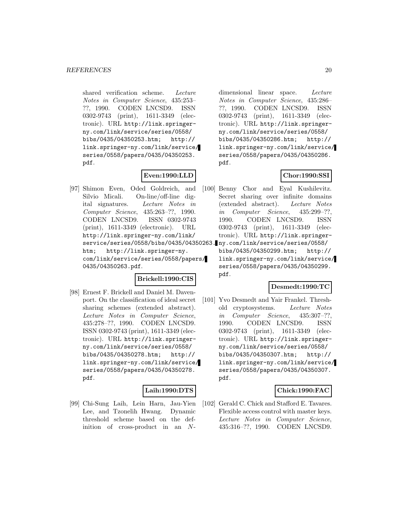shared verification scheme. Lecture Notes in Computer Science, 435:253– ??, 1990. CODEN LNCSD9. ISSN 0302-9743 (print), 1611-3349 (electronic). URL http://link.springerny.com/link/service/series/0558/ bibs/0435/04350253.htm; http:// link.springer-ny.com/link/service/ series/0558/papers/0435/04350253. pdf.

## **Even:1990:LLD**

[97] Shimon Even, Oded Goldreich, and Silvio Micali. On-line/off-line digital signatures. Lecture Notes in Computer Science, 435:263–??, 1990. CODEN LNCSD9. ISSN 0302-9743 (print), 1611-3349 (electronic). URL http://link.springer-ny.com/link/ service/series/0558/bibs/0435/04350263. ny.com/link/service/series/0558/ htm; http://link.springer-ny. com/link/service/series/0558/papers/ 0435/04350263.pdf.

#### **Brickell:1990:CIS**

[98] Ernest F. Brickell and Daniel M. Davenport. On the classification of ideal secret sharing schemes (extended abstract). Lecture Notes in Computer Science, 435:278–??, 1990. CODEN LNCSD9. ISSN 0302-9743 (print), 1611-3349 (electronic). URL http://link.springerny.com/link/service/series/0558/ bibs/0435/04350278.htm; http:// link.springer-ny.com/link/service/ series/0558/papers/0435/04350278. pdf.

#### **Laih:1990:DTS**

[99] Chi-Sung Laih, Lein Harn, Jau-Yien Lee, and Tzonelih Hwang. Dynamic threshold scheme based on the definition of cross-product in an N-

dimensional linear space. Lecture Notes in Computer Science, 435:286– ??, 1990. CODEN LNCSD9. ISSN 0302-9743 (print), 1611-3349 (electronic). URL http://link.springerny.com/link/service/series/0558/ bibs/0435/04350286.htm; http:// link.springer-ny.com/link/service/ series/0558/papers/0435/04350286. pdf.

#### **Chor:1990:SSI**

[100] Benny Chor and Eyal Kushilevitz. Secret sharing over infinite domains (extended abstract). Lecture Notes in Computer Science, 435:299–??, 1990. CODEN LNCSD9. ISSN 0302-9743 (print), 1611-3349 (electronic). URL http://link.springer-

> bibs/0435/04350299.htm; http:// link.springer-ny.com/link/service/ series/0558/papers/0435/04350299. pdf.

#### **Desmedt:1990:TC**

[101] Yvo Desmedt and Yair Frankel. Threshold cryptosystems. Lecture Notes in Computer Science, 435:307–??, 1990. CODEN LNCSD9. ISSN 0302-9743 (print), 1611-3349 (electronic). URL http://link.springerny.com/link/service/series/0558/ bibs/0435/04350307.htm; http:// link.springer-ny.com/link/service/ series/0558/papers/0435/04350307. pdf.

#### **Chick:1990:FAC**

[102] Gerald C. Chick and Stafford E. Tavares. Flexible access control with master keys. Lecture Notes in Computer Science, 435:316–??, 1990. CODEN LNCSD9.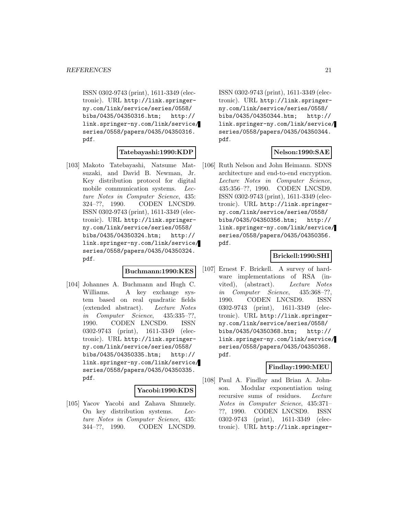ISSN 0302-9743 (print), 1611-3349 (electronic). URL http://link.springerny.com/link/service/series/0558/ bibs/0435/04350316.htm; http:// link.springer-ny.com/link/service/ series/0558/papers/0435/04350316. pdf.

#### **Tatebayashi:1990:KDP**

[103] Makoto Tatebayashi, Natsume Matsuzaki, and David B. Newman, Jr. Key distribution protocol for digital mobile communication systems. Lecture Notes in Computer Science, 435: 324–??, 1990. CODEN LNCSD9. ISSN 0302-9743 (print), 1611-3349 (electronic). URL http://link.springerny.com/link/service/series/0558/ bibs/0435/04350324.htm; http:// link.springer-ny.com/link/service/ series/0558/papers/0435/04350324. pdf.

#### **Buchmann:1990:KES**

[104] Johannes A. Buchmann and Hugh C. Williams. A key exchange system based on real quadratic fields (extended abstract). Lecture Notes in Computer Science, 435:335–??, 1990. CODEN LNCSD9. ISSN 0302-9743 (print), 1611-3349 (electronic). URL http://link.springerny.com/link/service/series/0558/ bibs/0435/04350335.htm; http:// link.springer-ny.com/link/service/ series/0558/papers/0435/04350335. pdf.

#### **Yacobi:1990:KDS**

[105] Yacov Yacobi and Zahava Shmuely. On key distribution systems. Lecture Notes in Computer Science, 435: 344–??, 1990. CODEN LNCSD9.

ISSN 0302-9743 (print), 1611-3349 (electronic). URL http://link.springerny.com/link/service/series/0558/ bibs/0435/04350344.htm; http:// link.springer-ny.com/link/service/ series/0558/papers/0435/04350344. pdf.

## **Nelson:1990:SAE**

[106] Ruth Nelson and John Heimann. SDNS architecture and end-to-end encryption. Lecture Notes in Computer Science, 435:356–??, 1990. CODEN LNCSD9. ISSN 0302-9743 (print), 1611-3349 (electronic). URL http://link.springerny.com/link/service/series/0558/ bibs/0435/04350356.htm; http:// link.springer-ny.com/link/service/ series/0558/papers/0435/04350356. pdf.

#### **Brickell:1990:SHI**

[107] Ernest F. Brickell. A survey of hardware implementations of RSA (invited), (abstract). Lecture Notes in Computer Science, 435:368–??, 1990. CODEN LNCSD9. ISSN 0302-9743 (print), 1611-3349 (electronic). URL http://link.springerny.com/link/service/series/0558/ bibs/0435/04350368.htm; http:// link.springer-ny.com/link/service/ series/0558/papers/0435/04350368. pdf.

#### **Findlay:1990:MEU**

[108] Paul A. Findlay and Brian A. Johnson. Modular exponentiation using recursive sums of residues. Lecture Notes in Computer Science, 435:371– ??, 1990. CODEN LNCSD9. ISSN 0302-9743 (print), 1611-3349 (electronic). URL http://link.springer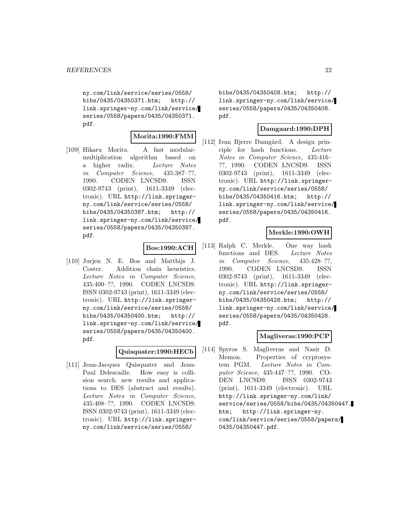ny.com/link/service/series/0558/ bibs/0435/04350371.htm; http:// link.springer-ny.com/link/service/ series/0558/papers/0435/04350371. pdf.

#### **Morita:1990:FMM**

[109] Hikaru Morita. A fast modularmultiplication algorithm based on a higher radix. Lecture Notes in Computer Science, 435:387–??, 1990. CODEN LNCSD9. ISSN 0302-9743 (print), 1611-3349 (electronic). URL http://link.springerny.com/link/service/series/0558/ bibs/0435/04350387.htm; http:// link.springer-ny.com/link/service/ series/0558/papers/0435/04350387. pdf.

#### **Bos:1990:ACH**

[110] Jurjen N. E. Bos and Matthijs J. Coster. Addition chain heuristics. Lecture Notes in Computer Science, 435:400–??, 1990. CODEN LNCSD9. ISSN 0302-9743 (print), 1611-3349 (electronic). URL http://link.springerny.com/link/service/series/0558/ bibs/0435/04350400.htm; http:// link.springer-ny.com/link/service/ series/0558/papers/0435/04350400. pdf.

#### **Quisquater:1990:HECb**

[111] Jean-Jacques Quisquater and Jean-Paul Delescaille. How easy is collision search. new results and applications to DES (abstract and results). Lecture Notes in Computer Science, 435:408–??, 1990. CODEN LNCSD9. ISSN 0302-9743 (print), 1611-3349 (electronic). URL http://link.springerny.com/link/service/series/0558/

bibs/0435/04350408.htm; http:// link.springer-ny.com/link/service/ series/0558/papers/0435/04350408. pdf.

#### **Damgaard:1990:DPH**

[112] Ivan Bjerre Damgård. A design principle for hash functions. Lecture Notes in Computer Science, 435:416– ??, 1990. CODEN LNCSD9. ISSN 0302-9743 (print), 1611-3349 (electronic). URL http://link.springerny.com/link/service/series/0558/ bibs/0435/04350416.htm; http:// link.springer-ny.com/link/service/ series/0558/papers/0435/04350416. pdf.

## **Merkle:1990:OWH**

[113] Ralph C. Merkle. One way hash functions and DES. Lecture Notes in Computer Science, 435:428–??, 1990. CODEN LNCSD9. ISSN 0302-9743 (print), 1611-3349 (electronic). URL http://link.springerny.com/link/service/series/0558/ bibs/0435/04350428.htm; http:// link.springer-ny.com/link/service/ series/0558/papers/0435/04350428. pdf.

#### **Magliveras:1990:PCP**

[114] Spyros S. Magliveras and Nasir D. Memon. Properties of cryptosystem PGM. Lecture Notes in Computer Science, 435:447–??, 1990. CO-DEN LNCSD9. ISSN 0302-9743 (print), 1611-3349 (electronic). URL http://link.springer-ny.com/link/ service/series/0558/bibs/0435/04350447. htm; http://link.springer-ny. com/link/service/series/0558/papers/ 0435/04350447.pdf.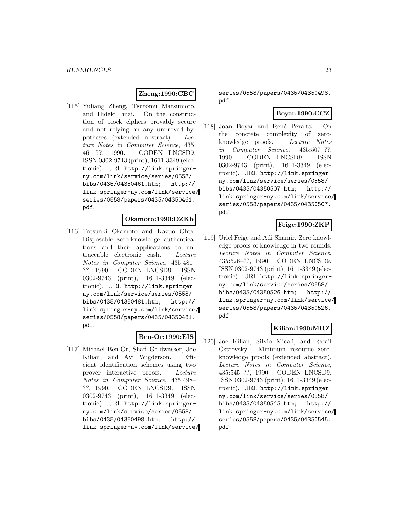## **Zheng:1990:CBC**

[115] Yuliang Zheng, Tsutomu Matsumoto, and Hideki Imai. On the construction of block ciphers provably secure and not relying on any unproved hypotheses (extended abstract). Lecture Notes in Computer Science, 435: 461–??, 1990. CODEN LNCSD9. ISSN 0302-9743 (print), 1611-3349 (electronic). URL http://link.springerny.com/link/service/series/0558/ bibs/0435/04350461.htm; http:// link.springer-ny.com/link/service/ series/0558/papers/0435/04350461. pdf.

#### **Okamoto:1990:DZKb**

[116] Tatsuaki Okamoto and Kazuo Ohta. Disposable zero-knowledge authentications and their applications to untraceable electronic cash. Lecture Notes in Computer Science, 435:481– ??, 1990. CODEN LNCSD9. ISSN 0302-9743 (print), 1611-3349 (electronic). URL http://link.springerny.com/link/service/series/0558/ bibs/0435/04350481.htm; http:// link.springer-ny.com/link/service/ series/0558/papers/0435/04350481. pdf.

## **Ben-Or:1990:EIS**

[117] Michael Ben-Or, Shafi Goldwasser, Joe Kilian, and Avi Wigderson. Efficient identification schemes using two prover interactive proofs. Lecture Notes in Computer Science, 435:498– ??, 1990. CODEN LNCSD9. ISSN 0302-9743 (print), 1611-3349 (electronic). URL http://link.springerny.com/link/service/series/0558/ bibs/0435/04350498.htm; http:// link.springer-ny.com/link/service/ series/0558/papers/0435/04350498. pdf.

#### **Boyar:1990:CCZ**

[118] Joan Boyar and René Peralta. On the concrete complexity of zeroknowledge proofs. Lecture Notes in Computer Science, 435:507–??, 1990. CODEN LNCSD9. ISSN 0302-9743 (print), 1611-3349 (electronic). URL http://link.springerny.com/link/service/series/0558/ bibs/0435/04350507.htm; http:// link.springer-ny.com/link/service/ series/0558/papers/0435/04350507. pdf.

## **Feige:1990:ZKP**

[119] Uriel Feige and Adi Shamir. Zero knowledge proofs of knowledge in two rounds. Lecture Notes in Computer Science, 435:526–??, 1990. CODEN LNCSD9. ISSN 0302-9743 (print), 1611-3349 (electronic). URL http://link.springerny.com/link/service/series/0558/ bibs/0435/04350526.htm; http:// link.springer-ny.com/link/service/ series/0558/papers/0435/04350526. pdf.

## **Kilian:1990:MRZ**

[120] Joe Kilian, Silvio Micali, and Rafail Ostrovsky. Minimum resource zeroknowledge proofs (extended abstract). Lecture Notes in Computer Science, 435:545–??, 1990. CODEN LNCSD9. ISSN 0302-9743 (print), 1611-3349 (electronic). URL http://link.springerny.com/link/service/series/0558/ bibs/0435/04350545.htm; http:// link.springer-ny.com/link/service/ series/0558/papers/0435/04350545. pdf.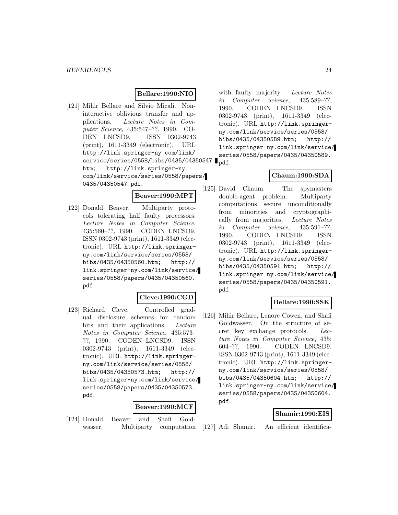### **Bellare:1990:NIO**

[121] Mihir Bellare and Silvio Micali. Noninteractive oblivious transfer and applications. Lecture Notes in Computer Science, 435:547–??, 1990. CO-DEN LNCSD9. ISSN 0302-9743 (print), 1611-3349 (electronic). URL http://link.springer-ny.com/link/ service/series/0558/bibs/0435/04350547. $_{\rm pdf.}$ htm; http://link.springer-ny. com/link/service/series/0558/papers/ 0435/04350547.pdf.

**Beaver:1990:MPT**

[122] Donald Beaver. Multiparty protocols tolerating half faulty processors. Lecture Notes in Computer Science, 435:560–??, 1990. CODEN LNCSD9. ISSN 0302-9743 (print), 1611-3349 (electronic). URL http://link.springerny.com/link/service/series/0558/ bibs/0435/04350560.htm; http:// link.springer-ny.com/link/service/ series/0558/papers/0435/04350560. pdf.

#### **Cleve:1990:CGD**

[123] Richard Cleve. Controlled gradual disclosure schemes for random bits and their applications. Lecture Notes in Computer Science, 435:573– ??, 1990. CODEN LNCSD9. ISSN 0302-9743 (print), 1611-3349 (electronic). URL http://link.springerny.com/link/service/series/0558/ bibs/0435/04350573.htm; http:// link.springer-ny.com/link/service/ series/0558/papers/0435/04350573. pdf.

#### **Beaver:1990:MCF**

[124] Donald Beaver and Shafi Goldwasser. Multiparty computation with faulty majority. Lecture Notes in Computer Science, 435:589–??, 1990. CODEN LNCSD9. ISSN 0302-9743 (print), 1611-3349 (electronic). URL http://link.springerny.com/link/service/series/0558/ bibs/0435/04350589.htm; http:// link.springer-ny.com/link/service/ series/0558/papers/0435/04350589.

## **Chaum:1990:SDA**

[125] David Chaum. The spymasters double-agent problem: Multiparty computations secure unconditionally from minorities and cryptographically from majorities. Lecture Notes in Computer Science, 435:591–??, 1990. CODEN LNCSD9. ISSN 0302-9743 (print), 1611-3349 (electronic). URL http://link.springerny.com/link/service/series/0558/ bibs/0435/04350591.htm; http:// link.springer-ny.com/link/service/ series/0558/papers/0435/04350591. pdf.

#### **Bellare:1990:SSK**

[126] Mihir Bellare, Lenore Cowen, and Shafi Goldwasser. On the structure of secret key exchange protocols. Lecture Notes in Computer Science, 435: 604–??, 1990. CODEN LNCSD9. ISSN 0302-9743 (print), 1611-3349 (electronic). URL http://link.springerny.com/link/service/series/0558/ bibs/0435/04350604.htm; http:// link.springer-ny.com/link/service/ series/0558/papers/0435/04350604. pdf.

#### **Shamir:1990:EIS**

[127] Adi Shamir. An efficient identifica-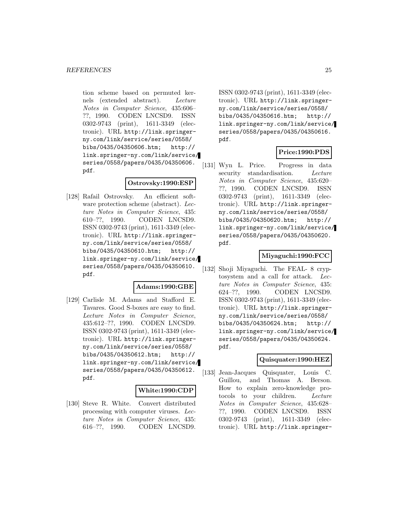tion scheme based on permuted kernels (extended abstract). Lecture Notes in Computer Science, 435:606– ??, 1990. CODEN LNCSD9. ISSN 0302-9743 (print), 1611-3349 (electronic). URL http://link.springerny.com/link/service/series/0558/ bibs/0435/04350606.htm; http:// link.springer-ny.com/link/service/ series/0558/papers/0435/04350606. pdf.

#### **Ostrovsky:1990:ESP**

[128] Rafail Ostrovsky. An efficient software protection scheme (abstract). Lecture Notes in Computer Science, 435: 610–??, 1990. CODEN LNCSD9. ISSN 0302-9743 (print), 1611-3349 (electronic). URL http://link.springerny.com/link/service/series/0558/ bibs/0435/04350610.htm; http:// link.springer-ny.com/link/service/ series/0558/papers/0435/04350610. pdf.

#### **Adams:1990:GBE**

[129] Carlisle M. Adams and Stafford E. Tavares. Good S-boxes are easy to find. Lecture Notes in Computer Science, 435:612–??, 1990. CODEN LNCSD9. ISSN 0302-9743 (print), 1611-3349 (electronic). URL http://link.springerny.com/link/service/series/0558/ bibs/0435/04350612.htm; http:// link.springer-ny.com/link/service/ series/0558/papers/0435/04350612. pdf.

#### **White:1990:CDP**

[130] Steve R. White. Convert distributed processing with computer viruses. Lecture Notes in Computer Science, 435: 616–??, 1990. CODEN LNCSD9.

ISSN 0302-9743 (print), 1611-3349 (electronic). URL http://link.springerny.com/link/service/series/0558/ bibs/0435/04350616.htm; http:// link.springer-ny.com/link/service/ series/0558/papers/0435/04350616. pdf.

## **Price:1990:PDS**

[131] Wyn L. Price. Progress in data security standardisation. Lecture Notes in Computer Science, 435:620– ??, 1990. CODEN LNCSD9. ISSN 0302-9743 (print), 1611-3349 (electronic). URL http://link.springerny.com/link/service/series/0558/ bibs/0435/04350620.htm; http:// link.springer-ny.com/link/service/ series/0558/papers/0435/04350620. pdf.

#### **Miyaguchi:1990:FCC**

[132] Shoji Miyaguchi. The FEAL- 8 cryptosystem and a call for attack. Lecture Notes in Computer Science, 435: 624–??, 1990. CODEN LNCSD9. ISSN 0302-9743 (print), 1611-3349 (electronic). URL http://link.springerny.com/link/service/series/0558/ bibs/0435/04350624.htm; http:// link.springer-ny.com/link/service/ series/0558/papers/0435/04350624. pdf.

#### **Quisquater:1990:HEZ**

[133] Jean-Jacques Quisquater, Louis C. Guillou, and Thomas A. Berson. How to explain zero-knowledge protocols to your children. Lecture Notes in Computer Science, 435:628– ??, 1990. CODEN LNCSD9. ISSN 0302-9743 (print), 1611-3349 (electronic). URL http://link.springer